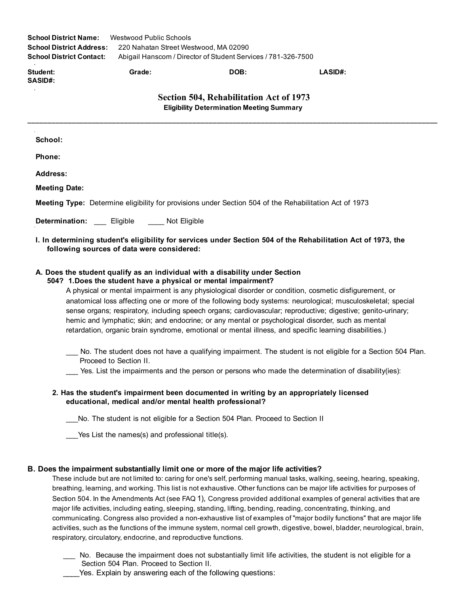| <b>School District Name:</b><br><b>School District Address:</b><br><b>School District Contact:</b>            | Westwood Public Schools<br>220 Nahatan Street Westwood, MA 02090 | Abigail Hanscom / Director of Student Services / 781-326-7500 |         |  |  |  |  |
|---------------------------------------------------------------------------------------------------------------|------------------------------------------------------------------|---------------------------------------------------------------|---------|--|--|--|--|
| <b>Student:</b><br><b>SASID#:</b>                                                                             | Grade:                                                           | DOB:                                                          | LASID#: |  |  |  |  |
| Section 504, Rehabilitation Act of 1973<br><b>Eligibility Determination Meeting Summary</b>                   |                                                                  |                                                               |         |  |  |  |  |
| School:                                                                                                       |                                                                  |                                                               |         |  |  |  |  |
| Phone:                                                                                                        |                                                                  |                                                               |         |  |  |  |  |
| Address:                                                                                                      |                                                                  |                                                               |         |  |  |  |  |
| <b>Meeting Date:</b>                                                                                          |                                                                  |                                                               |         |  |  |  |  |
| <b>Meeting Type:</b> Determine eligibility for provisions under Section 504 of the Rehabilitation Act of 1973 |                                                                  |                                                               |         |  |  |  |  |

Determination: \_\_\_ Eligible \_\_\_\_ Not Eligible

# I. In determining student's eligibility for services under Section 504 of the Rehabilitation Act of 1973, the following sources of data were considered:

## A. Does the student qualify as an individual with a disability under Section

#### 504? 1.Does the student have a physical or mental impairment?

A physical or mental impairment is any physiological disorder or condition, cosmetic disfigurement, or anatomical loss affecting one or more of the following body systems: neurological; musculoskeletal; special sense organs; respiratory, including speech organs; cardiovascular; reproductive; digestive; genito-urinary; hemic and lymphatic; skin; and endocrine; or any mental or psychological disorder, such as mental retardation, organic brain syndrome, emotional or mental illness, and specific learning disabilities.)

No. The student does not have a qualifying impairment. The student is not eligible for a Section 504 Plan. Proceed to Section II.

Yes. List the impairments and the person or persons who made the determination of disability(ies):

# 2. Has the student's impairment been documented in writing by an appropriately licensed educational, medical and/or mental health professional?

No. The student is not eligible for a Section 504 Plan. Proceed to Section II

Yes List the names(s) and professional title(s).

## B. Does the impairment substantially limit one or more of the major life activities?

These include but are not limited to: caring for one's self, performing manual tasks, walking, seeing, hearing, speaking, breathing, learning, and working. This list is not exhaustive. Other functions can be major life activities for purposes of Section 504. In the Amendments Act (see FAQ 1), Congress provided additional examples of general activities that are major life activities, including eating, sleeping, standing, lifting, bending, reading, concentrating, thinking, and communicating. Congress also provided a non-exhaustive list of examples of "major bodily functions" that are major life activities, such as the functions of the immune system, normal cell growth, digestive, bowel, bladder, neurological, brain, respiratory, circulatory, endocrine, and reproductive functions.

- \_\_\_ No. Because the impairment does not substantially limit life activities, the student is not eligible for a Section 504 Plan. Proceed to Section II.
- Yes. Explain by answering each of the following questions: